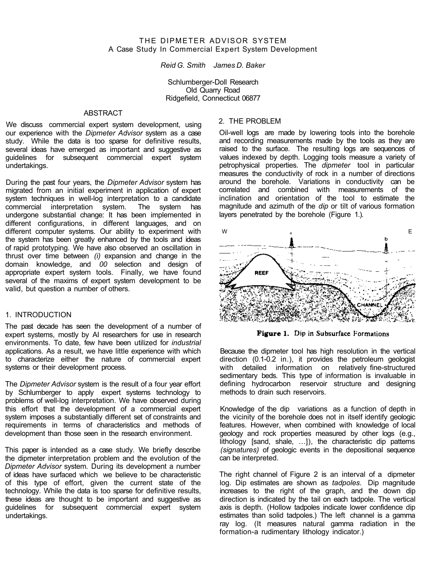## THE DIPMETER ADVISOR SYSTEM A Case Study In Commercial Expert System Development

*Reid G. Smith James D. Baker* 

Schlumberger-Doll Research Old Quarry Road Ridgefield, Connecticut 06877

## **ABSTRACT**

We discuss commercial expert system development, using our experience with the *Dipmeter Advisor* system as a case study. While the data is too sparse for definitive results, several ideas have emerged as important and suggestive as guidelines for subsequent commercial expert system undertakings.

During the past four years, the *Dipmeter Advisor* system has migrated from an initial experiment in application of expert system techniques in well-log interpretation to a candidate commercial interpretation system. The system has undergone substantial change: It has been implemented in different configurations, in different languages, and on different computer systems. Our ability to experiment with the system has been greatly enhanced by the tools and ideas of rapid prototyping. We have also observed an oscillation in thrust over time between *(i)* expansion and change in the domain knowledge, and *00* selection and design of appropriate expert system tools. Finally, we have found several of the maxims of expert system development to be valid, but question a number of others.

### 1. INTRODUCTION

The past decade has seen the development of a number of expert systems, mostly by AI researchers for use in research environments. To date, few have been utilized for *industrial*  applications. As a result, we have little experience with which to characterize either the nature of commercial expert systems or their development process.

The *Dipmeter Advisor* system is the result of a four year effort by Schlumberger to apply expert systems technology to problems of well-log interpretation. We have observed during this effort that the development of a commercial expert system imposes a substantially different set of constraints and requirements in terms of characteristics and methods of development than those seen in the research environment.

This paper is intended as a case study. We briefly describe the dipmeter interpretation problem and the evolution of the *Dipmeter Advisor* system. During its development a number of ideas have surfaced which we believe to be characteristic of this type of effort, given the current state of the technology. While the data is too sparse for definitive results, these ideas are thought to be important and suggestive as guidelines for subsequent commercial expert system undertakings.

## 2. THE PROBLEM

Oil-well logs are made by lowering tools into the borehole and recording measurements made by the tools as they are raised to the surface. The resulting logs are sequences of values indexed by depth. Logging tools measure a variety of petrophysical properties. The *dipmeter* tool in particular measures the conductivity of rock in a number of directions around the borehole. Variations in conductivity can be correlated and combined with measurements of the inclination and orientation of the tool to estimate the magnitude and azimuth of the *dip* or tilt of various formation layers penetrated by the borehole (Figure 1.).



Figure 1. Dip in Subsurface Formations

Because the dipmeter tool has high resolution in the vertical direction (0.1-0.2 in.), it provides the petroleum geologist with detailed information on relatively fine-structured sedimentary beds. This type of information is invaluable in defining hydrocarbon reservoir structure and designing methods to drain such reservoirs.

Knowledge of the dip variations as a function of depth in the vicinity of the borehole does not in itself identify geologic features. However, when combined with knowledge of local geology and rock properties measured by other logs (e.g., lithology [sand, shale, ...]), the characteristic dip patterns *(signatures)* of geologic events in the depositional sequence can be interpreted.

The right channel of Figure 2 is an interval of a dipmeter log. Dip estimates are shown as *tadpoles.* Dip magnitude increases to the right of the graph, and the down dip direction is indicated by the tail on each tadpole. The vertical axis is depth. (Hollow tadpoles indicate lower confidence dip estimates than solid tadpoles.) The left channel is a gamma ray log. (It measures natural gamma radiation in the formation-a rudimentary lithology indicator.)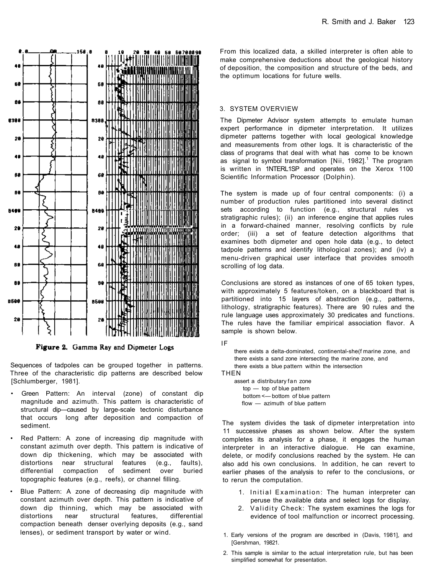

Figure 2. Gamma Ray and Dipmeter Logs

Sequences of tadpoles can be grouped together in patterns. Three of the characteristic dip patterns are described below [Schlumberger, 1981].

- Green Pattern: An interval (zone) of constant dip magnitude and azimuth. This pattern is characteristic of structural dip—caused by large-scale tectonic disturbance that occurs long after deposition and compaction of sediment.
- Red Pattern: A zone of increasing dip magnitude with constant azimuth over depth. This pattern is indicative of down dip thickening, which may be associated with distortions near structural features (e.g., faults), differential compaction of sediment over buried topographic features (e.g., reefs), or channel filling.
- Blue Pattern: A zone of decreasing dip magnitude with constant azimuth over depth. This pattern is indicative of down dip thinning, which may be associated with distortions near structural features, differential compaction beneath denser overlying deposits (e.g., sand lenses), or sediment transport by water or wind.

From this localized data, a skilled interpreter is often able to make comprehensive deductions about the geological history of deposition, the composition and structure of the beds, and the optimum locations for future wells.

#### 3. SYSTEM OVERVIEW

The Dipmeter Advisor system attempts to emulate human expert performance in dipmeter interpretation. It utilizes dipmeter patterns together with local geological knowledge and measurements from other logs. It is characteristic of the class of programs that deal with what has come to be known as signal to symbol transformation  $[Nii, 1982]$ <sup>1</sup>. The program is written in 1NTERL1SP and operates on the Xerox 1100 Scientific Information Processor (Dolphin).

The system is made up of four central components: (i) a number of production rules partitioned into several distinct sets according to function (e.g., structural rules vs stratigraphic rules); (ii) an inference engine that applies rules in a forward-chained manner, resolving conflicts by rule order; (iii) a set of feature detection algorithms that examines both dipmeter and open hole data (e.g., to detect tadpole patterns and identify lithological zones); and (iv) a menu-driven graphical user interface that provides smooth scrolling of log data.

Conclusions are stored as instances of one of 65 token types, with approximately 5 features/token, on a blackboard that is partitioned into 15 layers of abstraction (e.g., patterns, lithology, stratigraphic features). There are 90 rules and the rule language uses approximately 30 predicates and functions. The rules have the familiar empirical association flavor. A sample is shown below.

there exists a delta-dominated, continental-she(f marine zone, and there exists a sand zone intersecting the marine zone, and there exists a blue pattern within the intersection

**THEN** 

assert a distributary fan zone top — top of blue pattern bottom <— bottom of blue pattern flow — azimuth of blue pattern

The system divides the task of dipmeter interpretation into 11 successive phases as shown below. After the system completes its analysis for a phase, it engages the human interpreter in an interactive dialogue. He can examine, delete, or modify conclusions reached by the system. He can also add his own conclusions. In addition, he can revert to earlier phases of the analysis to refer to the conclusions, or to rerun the computation.

- 1. Initial Examination: The human interpreter can peruse the available data and select logs for display.
- 2. Validity Check: The system examines the logs for evidence of tool malfunction or incorrect processing.
- 1. Early versions of the program are described in (Davis, 1981], and [Gershman, 19821.
- 2. This sample is similar to the actual interpretation rule, but has been simplified somewhat for presentation.

IF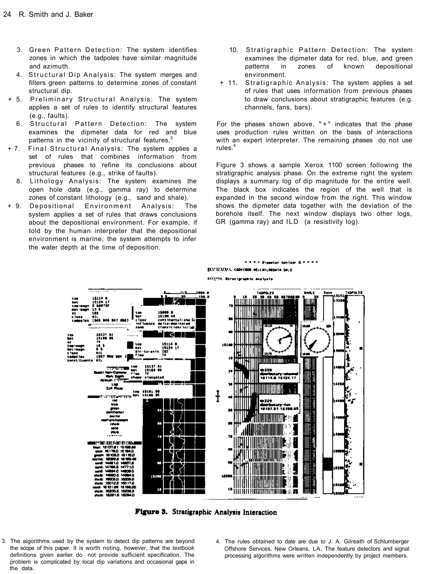- 3. Green Pattern Detection: The system identifies zones in which the tadpoles have similar magnitude and azimuth.
- 4. Structural Dip Analysis: The system merges and filters green patterns to determine zones of constant structural dip.
- + 5. Preliminary Structural Analysis: The system applies a set of rules to identify structural features (e.g., faults).
	- 6. Structural Pattern Detection: The system examines the dipmeter data for red and blue patterns in the vicinity of structural features.<sup>3</sup>
- + 7. Final Structural Analysis: The system applies a set of rules that combines information from previous phases to refine its conclusions about structural features (e.g., strike of faults).
	- 8. Lithology Analysis: The system examines the open hole data (e.g., gamma ray) to determine zones of constant lithology (e.g., sand and shale).
- + 9. Depositional Environment Analysis: The system applies a set of rules that draws conclusions about the depositional environment. For example, if told by the human interpreter that the depositional environment is marine, the system attempts to infer the water depth at the time of deposition.
- 10. Stratigraphic Pattern Detection: The system examines the dipmeter data for red, blue, and green patterns in zones of known depositional environment.
- + 11. Stratigraphic Analysis: The system applies a set of rules that uses information from previous phases to draw conclusions about stratigraphic features (e.g. channels, fans, bars).

For the phases shown above,  $" +"$  indicates that the phase uses production rules written on the basis of interactions with an expert interpreter. The remaining phases do not use rules.<sup>4</sup>

Figure 3 shows a sample Xerox 1100 screen following the stratigraphic analysis phase. On the extreme right the system displays a summary log of dip magnitude for the entire well. The black box indicates the region of the well that is expanded in the second window from the right. This window shows the dipmeter data together with the deviation of the borehole itself. The next window displays two other logs, GR (gamma ray) and ILD (a resistivity log).

**\*\*\*\*\* Dispeter Advisor D \* \* \* \*** 



Figure 3. Stratigraphic Analysis Interaction

- 3. The algorithms used by the system to detect dip patterns are beyond the scope of this paper. It is worth noting, however, that the *textbook*  definitions given earlier do not provide sufficient specification. The problem is complicated by local dip variations and occasional gaps in the data.
- 4. The rules obtained to date are due to J. A. Gilreath of Schlumberger Offshore Services, New Orleans, LA. The feature detectors and signal processing algorithms were written independently by project members.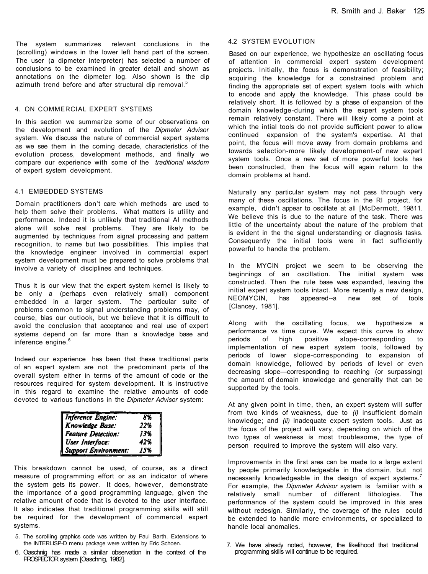The system summarizes relevant conclusions in the (scrolling) windows in the lower left hand part of the screen. The user (a dipmeter interpreter) has selected a number of conclusions to be examined in greater detail and shown as annotations on the dipmeter log. Also shown is the dip azimuth trend before and after structural dip removal.<sup>5</sup>

#### 4. ON COMMERCIAL EXPERT SYSTEMS

In this section we summarize some of our observations on the development and evolution of the *Dipmeter Advisor*  system. We discuss the nature of commercial expert systems as we see them in the coming decade, characteristics of the evolution process, development methods, and finally we compare our experience with some of the *traditional wisdom*  of expert system development.

#### 4.1 EMBEDDED SYSTEMS

Domain practitioners don't care which methods are used to help them solve their problems. What matters is utility and performance. Indeed it is unlikely that traditional AI methods alone will solve real problems. They are likely to be augmented by techniques from signal processing and pattern recognition, to name but two possibilities. This implies that the knowledge engineer involved in commercial expert system development must be prepared to solve problems that involve a variety of disciplines and techniques.

Thus it is our view that the expert system kernel is likely to be only a (perhaps even relatively small) component embedded in a larger system. The particular suite of problems common to signal understanding problems may, of course, bias our outlook, but we believe that it is difficult to avoid the conclusion that acceptance and real use of expert systems depend on far more than a knowledge base and inference engine. $6$ 

Indeed our experience has been that these traditional parts of an expert system are not the predominant parts of the overall system either in terms of the amount of code or the resources required for system development. It is instructive in this regard to examine the relative amounts of code devoted to various functions in the *Dipmeter Advisor* system:

| <b>Inference Engine:</b>  | 8%  |
|---------------------------|-----|
| Knowledge Base:           | 22% |
| <b>Feature Detection:</b> | 13% |
| User Interface:           | 42% |
| Support Environment:      | 15% |

This breakdown cannot be used, of course, as a direct measure of programming effort or as an indicator of where the system gets its power. It does, however, demonstrate the importance of a good programming language, given the relative amount of code that is devoted to the user interface. It also indicates that traditional programming skills will still be required for the development of commercial expert systems.

- 5. The scrolling graphics code was written by Paul Barth. Extensions to the INTERLISP-D menu package were written by Eric Schoen.
- 6. Oaschnig has made a similar observation in the context of the PROSPECTOR system [Oaschnig, 1982].

#### 4.2 SYSTEM EVOLUTION

Based on our experience, we hypothesize an oscillating focus of attention in commercial expert system development projects. Initially, the focus is demonstration of feasibility; acquiring the knowledge for a constrained problem and finding the appropriate set of expert system tools with which to encode and apply the knowledge. This phase could be relatively short. It is followed by a phase of expansion of the domain knowledge-during which the expert system tools remain relatively constant. There will likely come a point at which the intial tools do not provide sufficient power to allow continued expansion of the system's expertise. At that point, the focus will move away from domain problems and towards selection-more likely development-of new expert system tools. Once a new set of more powerful tools has been constructed, then the focus will again return to the domain problems at hand.

Naturally any particular system may not pass through very many of these oscillations. The focus in the Rl project, for example, didn't appear to oscillate at all [McDermott, 19811, We believe this is due to the nature of the task. There was little of the uncertainty about the nature of the problem that is evident in the the signal understanding or diagnosis tasks. Consequently the initial tools were in fact sufficiently powerful to handle the problem.

In the MYCIN project we seem to be observing the beginnings of an oscillation. The initial system was constructed. Then the rule base was expanded, leaving the initial expert system tools intact. More recently a new design, NEOMYCIN, has appeared--a new set of tools [Clancey, 1981].

Along with the oscillating focus, we hypothesize a performance vs time curve. We expect this curve to show<br>periods of high positive slope-corresponding to of high positive slope-corresponding to implementation of new expert system tools, followed by periods of lower slope-corresponding to expansion of domain knowledge, followed by periods of level or even decreasing slope—corresponding to reaching (or surpassing) the amount of domain knowledge and generality that can be supported by the tools.

At any given point in time, then, an expert system will suffer from two kinds of weakness, due to *(i)* insufficient domain knowledge; and *(ii)* inadequate expert system tools. Just as the focus of the project will vary, depending on which of the two types of weakness is most troublesome, the type of person required to improve the system will also vary.

Improvements in the first area can be made to a large extent by people primarily knowledgeable in the domain, but not necessarily knowledgeable in the design of expert systems.<sup>7</sup> For example, the *Dipmeter Advisor* system is familiar with a relatively small number of different lithologies. The performance of the system could be improved in this area without redesign. Similarly, the coverage of the rules could be extended to handle more environments, or specialized to handle local anomalies.

7. We have already noted, however, the likelihood that traditional programming skills will continue to be required.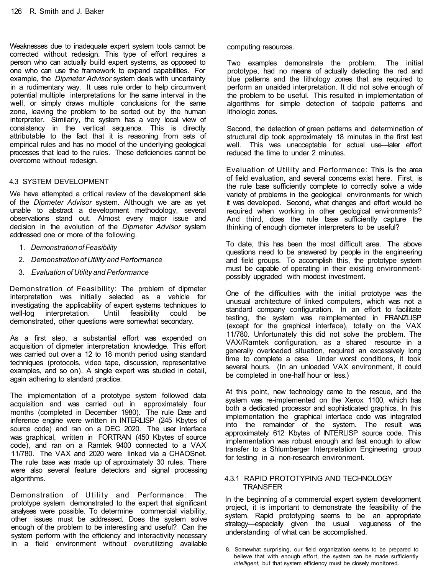Weaknesses due to inadequate expert system tools cannot be corrected without redesign. This type of effort requires a person who can actually build expert systems, as opposed to one who can use the framework to expand capabilities. For example, the *Dipmeter Advisor* system deals with uncertainty in a rudimentary way. It uses rule order to help circumvent potential multiple interpretations for the same interval in the well, or simply draws multiple conclusions for the same zone, leaving the problem to be sorted out by the human interpreter. Similarly, the system has a very local view of consistency in the vertical sequence. This is directly attributable to the fact that it is reasoning from sets of empirical rules and has no model of the underlying geological processes that lead to the rules. These deficiencies cannot be overcome without redesign.

# 4.3 SYSTEM DEVELOPMENT

We have attempted a critical review of the development side of the *Dipmeter Advisor* system. Although we are as yet unable to abstract a development methodology, several observations stand out. Almost every major issue and decision in the evolution of the *Dipmeter Advisor* system addressed one or more of the following.

- 1. *Demonstration of Feasibility*
- 2. *Demonstration of Utility and Performance*
- 3. *Evaluation of Utility and Performance*

Demonstration of Feasibility: The problem of dipmeter interpretation was initially selected as a vehicle for investigating the applicability of expert systems techniques to<br>well-log interpretation. Until feasibility could be well-log interpretation. Until feasibility could be demonstrated, other questions were somewhat secondary.

As a first step, a substantial effort was expended on acquisition of dipmeter interpretation knowledge. This effort was carried out over a 12 to 18 month period using standard techniques (protocols, video tape, discussion, representative examples, and so on). A single expert was studied in detail, again adhering to standard practice.

The implementation of a prototype system followed data acquisition and was carried out in approximately four months (completed in December 1980). The rule Dase and inference engine were written in INTERLISP (245 Kbytes of source code) and ran on a DEC 2020. The user interface was graphical, written in FORTRAN (450 Kbytes of source code), and ran on a Ramtek 9400 connected to a VAX 11/780. The VAX and 2020 were linked via a CHAOSnet. The rule base was made up of aproximately 30 rules. There were also several feature detectors and signal processing algorithms.

Demonstration of Utility and Performance: The prototype system demonstrated to the expert that significant analyses were possible. To determine commercial viability, other issues must be addressed. Does the system solve enough of the problem to be interesting and useful? Can the system perform with the efficiency and interactivity necessary in a field environment without overutilizing available

#### computing resources.

Two examples demonstrate the problem. The initial prototype, had no means of actually detecting the red and blue patterns and the lithology zones that are required to perform an unaided interpretation. It did not solve enough of the problem to be useful. This resulted in implementation of algorithms for simple detection of tadpole patterns and lithologic zones.

Second, the detection of green patterns and determination of structural dip took approximately 18 minutes in the first test well. This was unacceptable for actual use—later effort reduced the time to under 2 minutes.

Evaluation of Utility and Performance: This is the area of field evaluation, and several concerns exist here. First, is the rule base sufficiently complete to correctly solve a wide variety of problems in the geological environments for which it was developed. Second, what changes and effort would be required when working in other geological environments? And third, does the rule base sufficiently capture the thinking of enough dipmeter interpreters to be useful?

To date, this has been the most difficult area. The above questions need to be answered by people in the engineering and field groups. To accomplish this, the prototype system must be capable of operating in their existing environmentpossibly upgraded with modest investment.

One of the difficulties with the initial prototype was the unusual architecture of linked computers, which was not a standard company configuration. In an effort to facilitate testing, the system was reimplemented in FRANZLISP (except for the graphical interface), totally on the VAX 11/780. Unfortunately this did not solve the problem. The VAX/Ramtek configuration, as a shared resource in a generally overloaded situation, required an excessively long time to complete a case. Under worst conditions, it took several hours. (In an unloaded VAX environment, it could be completed in one-half hour or less.)

At this point, new technology came to the rescue, and the system was re-implemented on the Xerox 1100, which has both a dedicated processor and sophisticated graphics. In this implementation the graphical interface code was integrated into the remainder of the system. The result was approximately 612 Kbytes of INTERLISP source code. This implementation was robust enough and fast enough to allow transfer to a Shlumberger Interpretation Engineering group for testing in a non-research environment.

## 4.3.1 RAPID PROTOTYPING AND TECHNOLOGY TRANSFER

In the beginning of a commercial expert system development project, it is important to demonstrate the feasibility of the system. Rapid prototyping seems to be an appropriate strategy—especially given the usual vagueness of the understanding of what can be accomplished.

<sup>8.</sup> Somewhat surprising, our field organization seems to be prepared to believe that with enough effort, the system can be made sufficiently *intelligent,* but that system efficiency must be closely monitored.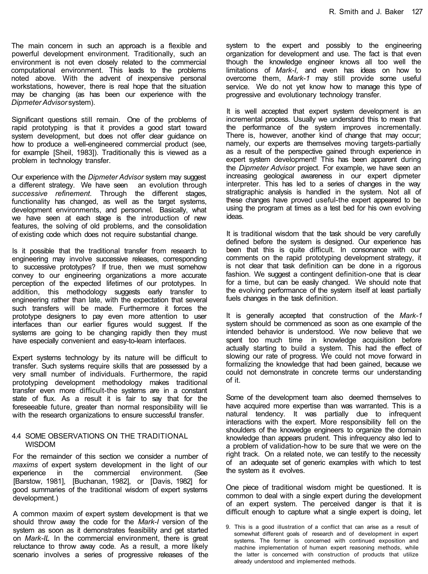The main concern in such an approach is a flexible and powerful development environment. Traditionally, such an environment is not even closely related to the commercial computational environment. This leads to the problems noted above. With the advent of inexpensive personal workstations, however, there is real hope that the situation may be changing (as has been our experience with the *Dipmeter Advisor* system).

Significant questions still remain. One of the problems of rapid prototyping is that it provides a good start toward system development, but does not offer clear guidance on how to produce a well-engineered commercial product (see, for example [Sheil, 1983]). Traditionally this is viewed as a problem in technology transfer.

Our experience with the *Dipmeter Advisor* system may suggest a different strategy. We have seen an evolution through *successive refinement.* Through the different stages, functionality has changed, as well as the target systems, development environments, and personnel. Basically, what we have seen at each stage is the introduction of new features, the solving of old problems, and the consolidation of existing code which does not require substantial change.

Is it possible that the traditional transfer from research to engineering may involve successive releases, corresponding to successive prototypes? If true, then we must somehow convey to our engineering organizations a more accurate perception of the expected lifetimes of our prototypes. In addition, this methodology suggests early transfer to engineering rather than late, with the expectation that several such transfers will be made. Furthermore it forces the prototype designers to pay even more attention to user interfaces than our earlier figures would suggest. If the systems are going to be changing rapidly then they must have especially convenient and easy-to-learn interfaces.

Expert systems technology by its nature will be difficult to transfer. Such systems require skills that are possessed by a very small number of individuals. Furthermore, the rapid prototyping development methodology makes traditional transfer even more difficult-the systems are in a constant state of flux. As a result it is fair to say that for the foreseeable future, greater than normal responsibility will lie with the research organizations to ensure successful transfer.

## 4.4 SOME OBSERVATIONS ON THE TRADITIONAL WISDOM

For the remainder of this section we consider a number of *maxims* of expert system development in the light of our experience in the commercial environment. (See [Barstow, 1981], [Buchanan, 1982], or [Davis, 1982] for good summaries of the traditional wisdom of expert systems development.)

A common maxim of expert system development is that we should throw away the code for the *Mark-I* version of the system as soon as it demonstrates feasibility and get started on *Mark-IL* In the commercial environment, there is great reluctance to throw away code. As a result, a more likely scenario involves a series of progressive releases of the

system to the expert and possibly to the engineering organization for development and use. The fact is that even though the knowledge engineer knows all too well the limitations of *Mark-I,* and even has ideas on how to overcome them, *Mark-1* may still provide some useful service. We do not yet know how to manage this type of progressive and evolutionary technology transfer.

It is well accepted that expert system development is an incremental process. Usually we understand this to mean that the performance of the system improves incrementally. There is, however, another kind of change that may occur; namely, our experts are themselves moving targets-partially as a result of the perspective gained through experience in expert system development! This has been apparent during the *Dipmeter Advisor* project. For example, we have seen an increasing geological awareness in our expert dipmeter interpreter. This has led to a series of changes in the way stratigraphic analysis is handled in the system. Not all of these changes have proved useful-the expert appeared to be using the program at times as a test bed for his own evolving ideas.

It is traditional wisdom that the task should be very carefully defined before the system is designed. Our experience has been that this is quite difficult. In consonance with our comments on the rapid prototyping development strategy, it is not clear that task definition can be done in a rigorous fashion. We suggest a contingent definition-one that is clear for a time, but can be easily changed. We should note that the evolving performance of the system itself at least partially fuels changes in the task definition.

It is generally accepted that construction of the *Mark-1*  system should be commenced as soon as one example of the intended behavior is understood. We now believe that we spent too much time in knowledge acquisition before actually starting to build a system. This had the effect of slowing our rate of progress. We could not move forward in formalizing the knowledge that had been gained, because we could not demonstrate in concrete terms our understanding of it.

Some of the development team also deemed themselves to have acquired more expertise than was warranted. This is a natural tendency. It was partially due to infrequent interactions with the expert. More responsibility fell on the shoulders of the knowedge engineers to organize the domain knowledge than appears prudent. This infrequency also led to a problem of validation-how to be sure that we were on the right track. On a related note, we can testify to the necessity of an adequate set of generic examples with which to test the system as it evolves.

One piece of traditional wisdom might be questioned. It is common to deal with a single expert during the development of an expert system. The perceived danger is that it is difficult enough to capture what a single expert is doing, let

9. This is a good illustration of a conflict that can arise as a result of somewhat different goals of research and of development in expert systems. The former is concerned with continued exposition and machine implementation of human expert reasoning methods, while the latter is concerned with construction of products that utilize already understood and implemented methods.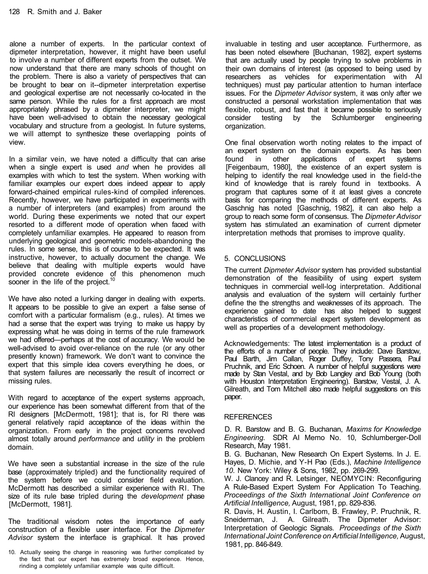alone a number of experts. In the particular context of dipmeter interpretation, however, it might have been useful to involve a number of different experts from the outset. We now understand that there are many schools of thought on the problem. There is also a variety of perspectives that can be brought to bear on it--dipmeter interpretation expertise and geological expertise are not necessarily co-located in the same person. While the rules for a first approach are most appropriately phrased by a dipmeter interpreter, we might have been well-advised to obtain the necessary geological vocabulary and structure from a geologist. In future systems, we will attempt to synthesize these overlapping points of view.

In a similar vein, we have noted a difficulty that can arise when a single expert is used *and* when he provides all examples with which to test the system. When working with familiar examples our expert does indeed appear to apply forward-chained empirical rules-kind of compiled inferences. Recently, however, we have participated in experiments with a number of interpreters (and examples) from around the world. During these experiments we noted that our expert resorted to a different mode of operation when faced with completely unfamiliar examples. He appeared to reason from underlying geological and geometric models-abandoning the rules. In some sense, this is of course to be expected. It was instructive, however, to actually document the change. We believe that dealing with multiple experts would have provided concrete evidence of this phenomenon much sooner in the life of the project.<sup>10</sup>

We have also noted a lurking danger in dealing with experts. It appears to be possible to give an expert a false sense of comfort with a particular formalism (e.g., rules). At times we had a sense that the expert was trying to make us happy by expressing what he was doing in terms of the rule framework we had offered—perhaps at the cost of accuracy. We would be well-advised to avoid over-reliance on the rule (or any other presently known) framework. We don't want to convince the expert that this simple idea covers everything he does, or that system failures are necessarily the result of incorrect or missing rules.

With regard to acceptance of the expert systems approach, our experience has been somewhat different from that of the Rl designers [McDermott, 1981]; that is, for Rl there was general relatively rapid acceptance of the ideas within the organization. From early in the project concerns revolved almost totally around *performance* and *utility* in the problem domain.

We have seen a substantial increase in the size of the rule base (approximately tripled) and the functionality required of the system before we could consider field evaluation. McDermott has described a similar experience with Rl. The size of its rule base tripled during the *development* phase [McDermott, 1981].

The traditional wisdom notes the importance of early construction of a flexible user interface. For the *Dipmeter Advisor* system the interface is graphical. It has proved

invaluable in testing and user acceptance. Furthermore, as has been noted elsewhere [Buchanan, 1982], expert systems that are actually used by people trying to solve problems in their own domains of interest (as opposed to being used by researchers as vehicles for experimentation with AI techniques) must pay particular attention to human interface issues. For the *Dipmeter Advisor* system, it was only after we constructed a personal workstation implementation that was flexible, robust, and fast that it became possible to seriously consider testing by the Schlumberger engineering organization.

One final observation worth noting relates to the impact of an expert system on the domain experts. As has been found in other applications of expert systems [Feigenbaum, 1980], the existence of an expert system is helping to identify the real knowledge used in the field-the kind of knowledge that is rarely found in textbooks. A program that captures some of it at least gives a concrete basis for comparing the methods of different experts. As Gaschnig has noted [Gaschnig, 1982], it can also help a group to reach some form of consensus. The *Dipmeter Advisor*  system has stimulated .an examination of current dipmeter interpretation methods that promises to improve quality.

# 5. CONCLUSIONS

The current *Dipmeter Advisor* system has provided substantial demonstration of the feasibility of using expert system techniques in commercial well-log interpretation. Additional analysis and evaluation of the system will certainly further define the the strengths and weaknesses of its approach. The experience gained to date has also helped to suggest characteristics of commercial expert system development as well as properties of a development methodology.

Acknowledgements: The latest implementation is a product of the efforts of a number of people. They include: Dave Barstow, Paul Barth, Jim Callan, Roger Duffey, Tony Passera, Paul Pruchnik, and Eric Schoen. A number of helpful suggestions were made by Stan Vestal, and by Bob Langley and Bob Young (both with Houston Interpretation Engineering). Barstow, Vestal, J. A. Gilreath, and Tom Mitchell also made helpful suggestions on this paper.

## **REFERENCES**

D. R. Barstow and B. G. Buchanan, *Maxims for Knowledge Engineering.* SDR AI Memo No. 10, Schlumberger-Doll Research, May 1981.

B. G. Buchanan, New Research On Expert Systems. In J. E. Hayes, D. Michie, and Y-H Pao (Eds.), *Machine Intelligence 10.* New York: Wiley & Sons, 1982, pp. 269-299.

W. J. Clancey and R. Letsinger, NEOMYCIN: Reconfiguring A Rule-Based Expert System For Application To Teaching. *Proceedings of the Sixth International Joint Conference on Artificial Intelligence,* August, 1981, pp. 829-836.

R. Davis, H. Austin, I. Carlbom, B. Frawley, P. Pruchnik, R. Sneiderman, J. A. Gilreath. The Dipmeter Advisor: Interpretation of Geologic Signals. *Proceedings of the Sixth International Joint Conference on Artificial Intelligence,* August, 1981, pp. 846-849.

<sup>10.</sup> Actually seeing the change in reasoning was further complicated by the fact that our expert has extremely broad experience. Hence, rinding a completely unfamiliar example was quite difficult.